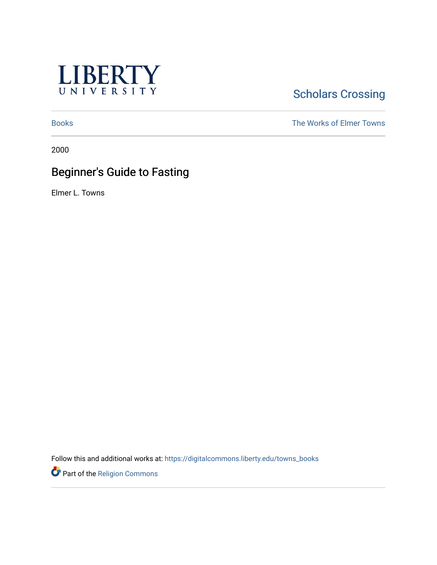

## **Scholars Crossing**

[Books](https://digitalcommons.liberty.edu/towns_books) The Works of Elmer Towns

2000

## Beginner's Guide to Fasting

Elmer L. Towns

Follow this and additional works at: [https://digitalcommons.liberty.edu/towns\\_books](https://digitalcommons.liberty.edu/towns_books?utm_source=digitalcommons.liberty.edu%2Ftowns_books%2F78&utm_medium=PDF&utm_campaign=PDFCoverPages) 

Part of the [Religion Commons](http://network.bepress.com/hgg/discipline/538?utm_source=digitalcommons.liberty.edu%2Ftowns_books%2F78&utm_medium=PDF&utm_campaign=PDFCoverPages)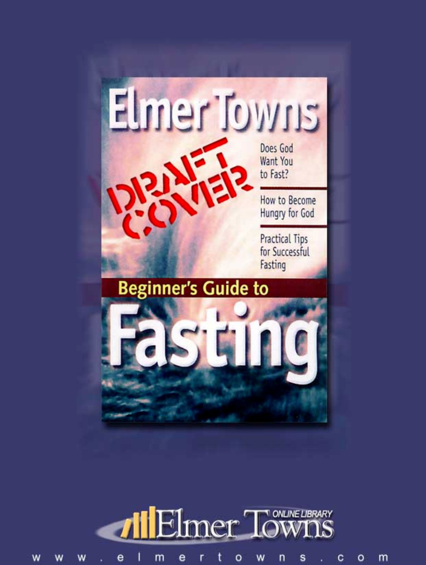



t e 1 m W s c W W w e r  $\circ$ n  $\circ$ m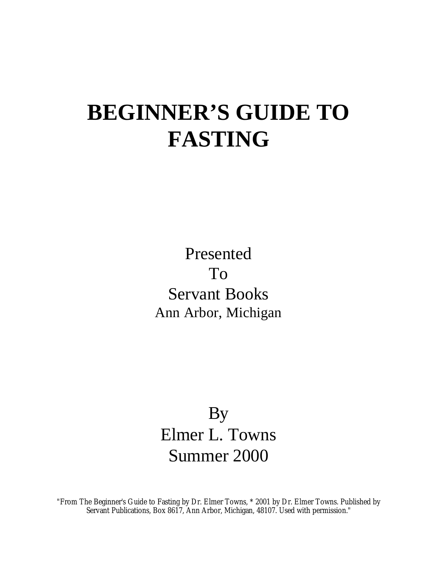# **BEGINNER'S GUIDE TO FASTING**

Presented To Servant Books Ann Arbor, Michigan

## By Elmer L. Towns Summer 2000

"From The Beginner's Guide to Fasting by Dr. Elmer Towns, \* 2001 by Dr. Elmer Towns. Published by Servant Publications, Box 8617, Ann Arbor, Michigan, 48107. Used with permission."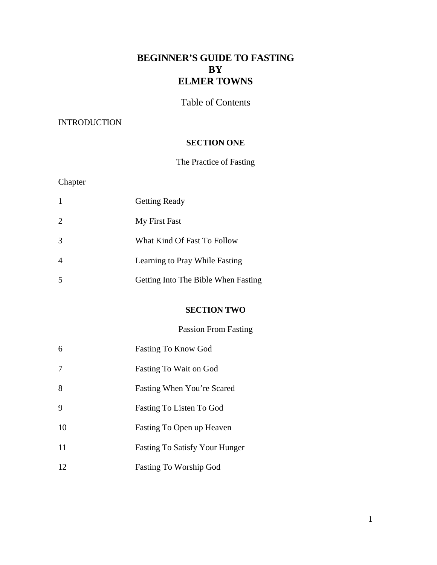## **BEGINNER'S GUIDE TO FASTING BY ELMER TOWNS**

Table of Contents

## INTRODUCTION

## **SECTION ONE**

## The Practice of Fasting

## Chapter

|               | <b>Getting Ready</b>                |
|---------------|-------------------------------------|
| 2             | My First Fast                       |
| $\mathcal{R}$ | What Kind Of Fast To Follow         |
|               | Learning to Pray While Fasting      |
|               | Getting Into The Bible When Fasting |

## **SECTION TWO**

Passion From Fasting

| 6  | <b>Fasting To Know God</b>            |
|----|---------------------------------------|
| 7  | Fasting To Wait on God                |
| 8  | Fasting When You're Scared            |
| 9  | Fasting To Listen To God              |
| 10 | Fasting To Open up Heaven             |
| 11 | <b>Fasting To Satisfy Your Hunger</b> |
| 12 | <b>Fasting To Worship God</b>         |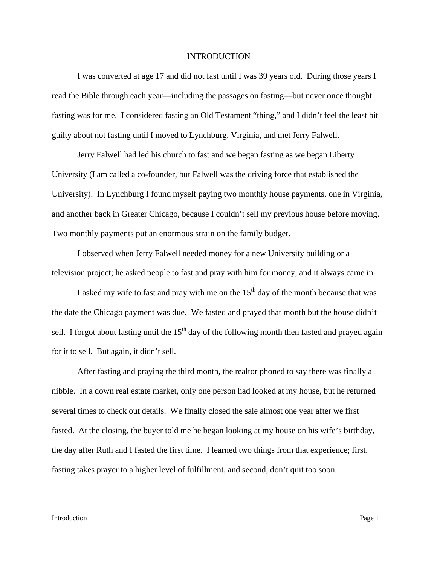#### INTRODUCTION

I was converted at age 17 and did not fast until I was 39 years old. During those years I read the Bible through each year—including the passages on fasting—but never once thought fasting was for me. I considered fasting an Old Testament "thing," and I didn't feel the least bit guilty about not fasting until I moved to Lynchburg, Virginia, and met Jerry Falwell.

Jerry Falwell had led his church to fast and we began fasting as we began Liberty University (I am called a co-founder, but Falwell was the driving force that established the University). In Lynchburg I found myself paying two monthly house payments, one in Virginia, and another back in Greater Chicago, because I couldn't sell my previous house before moving. Two monthly payments put an enormous strain on the family budget.

I observed when Jerry Falwell needed money for a new University building or a television project; he asked people to fast and pray with him for money, and it always came in.

I asked my wife to fast and pray with me on the  $15<sup>th</sup>$  day of the month because that was the date the Chicago payment was due. We fasted and prayed that month but the house didn't sell. I forgot about fasting until the  $15<sup>th</sup>$  day of the following month then fasted and prayed again for it to sell. But again, it didn't sell.

After fasting and praying the third month, the realtor phoned to say there was finally a nibble. In a down real estate market, only one person had looked at my house, but he returned several times to check out details. We finally closed the sale almost one year after we first fasted. At the closing, the buyer told me he began looking at my house on his wife's birthday, the day after Ruth and I fasted the first time. I learned two things from that experience; first, fasting takes prayer to a higher level of fulfillment, and second, don't quit too soon.

#### **Introduction** Page 1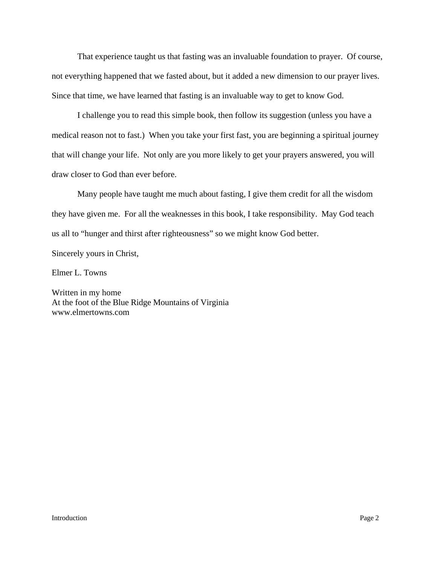That experience taught us that fasting was an invaluable foundation to prayer. Of course, not everything happened that we fasted about, but it added a new dimension to our prayer lives. Since that time, we have learned that fasting is an invaluable way to get to know God.

I challenge you to read this simple book, then follow its suggestion (unless you have a medical reason not to fast.) When you take your first fast, you are beginning a spiritual journey that will change your life. Not only are you more likely to get your prayers answered, you will draw closer to God than ever before.

Many people have taught me much about fasting, I give them credit for all the wisdom they have given me. For all the weaknesses in this book, I take responsibility. May God teach us all to "hunger and thirst after righteousness" so we might know God better.

Sincerely yours in Christ,

Elmer L. Towns

Written in my home At the foot of the Blue Ridge Mountains of Virginia www.elmertowns.com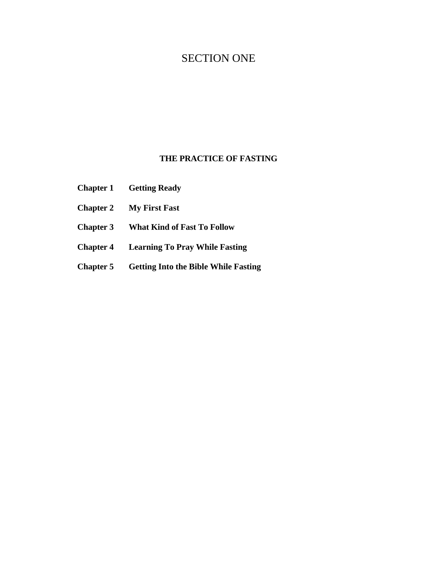## SECTION ONE

## **THE PRACTICE OF FASTING**

- **Chapter 1 Getting Ready**
- **Chapter 2 My First Fast**
- **Chapter 3 What Kind of Fast To Follow**
- **Chapter 4 Learning To Pray While Fasting**
- **Chapter 5 Getting Into the Bible While Fasting**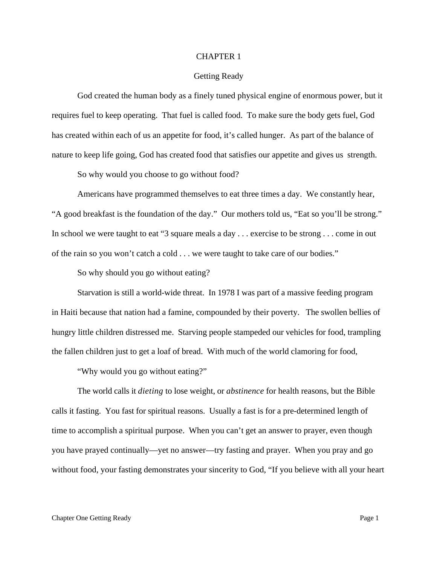#### CHAPTER 1

#### Getting Ready

God created the human body as a finely tuned physical engine of enormous power, but it requires fuel to keep operating. That fuel is called food. To make sure the body gets fuel, God has created within each of us an appetite for food, it's called hunger. As part of the balance of nature to keep life going, God has created food that satisfies our appetite and gives us strength.

So why would you choose to go without food?

Americans have programmed themselves to eat three times a day. We constantly hear, "A good breakfast is the foundation of the day." Our mothers told us, "Eat so you'll be strong." In school we were taught to eat "3 square meals a day . . . exercise to be strong . . . come in out of the rain so you won't catch a cold . . . we were taught to take care of our bodies."

So why should you go without eating?

Starvation is still a world-wide threat. In 1978 I was part of a massive feeding program in Haiti because that nation had a famine, compounded by their poverty. The swollen bellies of hungry little children distressed me. Starving people stampeded our vehicles for food, trampling the fallen children just to get a loaf of bread. With much of the world clamoring for food,

"Why would you go without eating?"

The world calls it *dieting* to lose weight, or *abstinence* for health reasons, but the Bible calls it fasting. You fast for spiritual reasons. Usually a fast is for a pre-determined length of time to accomplish a spiritual purpose. When you can't get an answer to prayer, even though you have prayed continually—yet no answer—try fasting and prayer. When you pray and go without food, your fasting demonstrates your sincerity to God, "If you believe with all your heart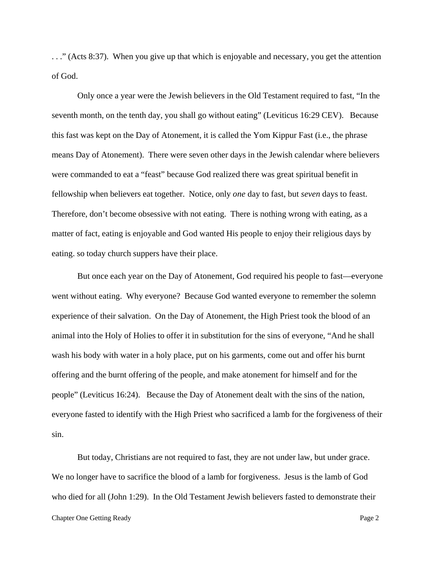. . ." (Acts 8:37). When you give up that which is enjoyable and necessary, you get the attention of God.

Only once a year were the Jewish believers in the Old Testament required to fast, "In the seventh month, on the tenth day, you shall go without eating" (Leviticus 16:29 CEV). Because this fast was kept on the Day of Atonement, it is called the Yom Kippur Fast (i.e., the phrase means Day of Atonement). There were seven other days in the Jewish calendar where believers were commanded to eat a "feast" because God realized there was great spiritual benefit in fellowship when believers eat together. Notice, only *one* day to fast, but *seven* days to feast. Therefore, don't become obsessive with not eating. There is nothing wrong with eating, as a matter of fact, eating is enjoyable and God wanted His people to enjoy their religious days by eating. so today church suppers have their place.

But once each year on the Day of Atonement, God required his people to fast—everyone went without eating. Why everyone? Because God wanted everyone to remember the solemn experience of their salvation. On the Day of Atonement, the High Priest took the blood of an animal into the Holy of Holies to offer it in substitution for the sins of everyone, "And he shall wash his body with water in a holy place, put on his garments, come out and offer his burnt offering and the burnt offering of the people, and make atonement for himself and for the people" (Leviticus 16:24). Because the Day of Atonement dealt with the sins of the nation, everyone fasted to identify with the High Priest who sacrificed a lamb for the forgiveness of their sin.

Chapter One Getting Ready Page 2 But today, Christians are not required to fast, they are not under law, but under grace. We no longer have to sacrifice the blood of a lamb for forgiveness. Jesus is the lamb of God who died for all (John 1:29). In the Old Testament Jewish believers fasted to demonstrate their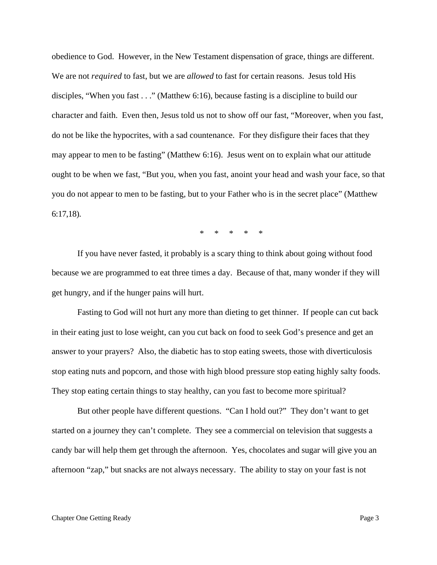obedience to God. However, in the New Testament dispensation of grace, things are different. We are not *required* to fast, but we are *allowed* to fast for certain reasons. Jesus told His disciples, "When you fast . . ." (Matthew 6:16), because fasting is a discipline to build our character and faith. Even then, Jesus told us not to show off our fast, "Moreover, when you fast, do not be like the hypocrites, with a sad countenance. For they disfigure their faces that they may appear to men to be fasting" (Matthew 6:16). Jesus went on to explain what our attitude ought to be when we fast, "But you, when you fast, anoint your head and wash your face, so that you do not appear to men to be fasting, but to your Father who is in the secret place" (Matthew 6:17,18).

\* \* \* \* \*

If you have never fasted, it probably is a scary thing to think about going without food because we are programmed to eat three times a day. Because of that, many wonder if they will get hungry, and if the hunger pains will hurt.

Fasting to God will not hurt any more than dieting to get thinner. If people can cut back in their eating just to lose weight, can you cut back on food to seek God's presence and get an answer to your prayers? Also, the diabetic has to stop eating sweets, those with diverticulosis stop eating nuts and popcorn, and those with high blood pressure stop eating highly salty foods. They stop eating certain things to stay healthy, can you fast to become more spiritual?

But other people have different questions. "Can I hold out?" They don't want to get started on a journey they can't complete. They see a commercial on television that suggests a candy bar will help them get through the afternoon. Yes, chocolates and sugar will give you an afternoon "zap," but snacks are not always necessary. The ability to stay on your fast is not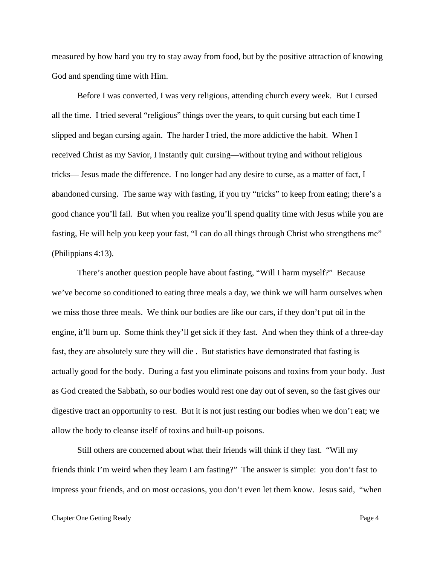measured by how hard you try to stay away from food, but by the positive attraction of knowing God and spending time with Him.

Before I was converted, I was very religious, attending church every week. But I cursed all the time. I tried several "religious" things over the years, to quit cursing but each time I slipped and began cursing again. The harder I tried, the more addictive the habit. When I received Christ as my Savior, I instantly quit cursing—without trying and without religious tricks— Jesus made the difference. I no longer had any desire to curse, as a matter of fact, I abandoned cursing. The same way with fasting, if you try "tricks" to keep from eating; there's a good chance you'll fail. But when you realize you'll spend quality time with Jesus while you are fasting, He will help you keep your fast, "I can do all things through Christ who strengthens me" (Philippians 4:13).

There's another question people have about fasting, "Will I harm myself?" Because we've become so conditioned to eating three meals a day, we think we will harm ourselves when we miss those three meals. We think our bodies are like our cars, if they don't put oil in the engine, it'll burn up. Some think they'll get sick if they fast. And when they think of a three-day fast, they are absolutely sure they will die . But statistics have demonstrated that fasting is actually good for the body. During a fast you eliminate poisons and toxins from your body. Just as God created the Sabbath, so our bodies would rest one day out of seven, so the fast gives our digestive tract an opportunity to rest. But it is not just resting our bodies when we don't eat; we allow the body to cleanse itself of toxins and built-up poisons.

Still others are concerned about what their friends will think if they fast. "Will my friends think I'm weird when they learn I am fasting?" The answer is simple: you don't fast to impress your friends, and on most occasions, you don't even let them know. Jesus said, "when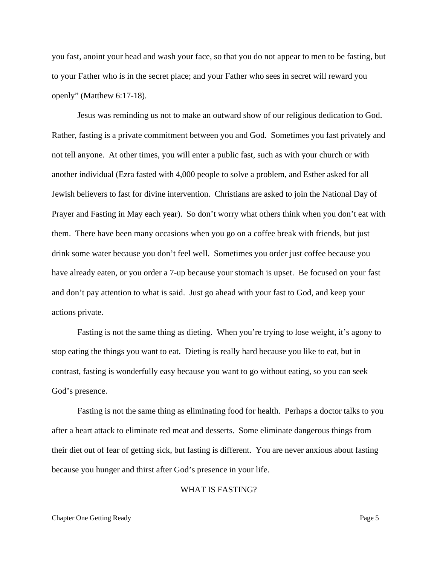you fast, anoint your head and wash your face, so that you do not appear to men to be fasting, but to your Father who is in the secret place; and your Father who sees in secret will reward you openly" (Matthew 6:17-18).

Jesus was reminding us not to make an outward show of our religious dedication to God. Rather, fasting is a private commitment between you and God. Sometimes you fast privately and not tell anyone. At other times, you will enter a public fast, such as with your church or with another individual (Ezra fasted with 4,000 people to solve a problem, and Esther asked for all Jewish believers to fast for divine intervention. Christians are asked to join the National Day of Prayer and Fasting in May each year). So don't worry what others think when you don't eat with them. There have been many occasions when you go on a coffee break with friends, but just drink some water because you don't feel well. Sometimes you order just coffee because you have already eaten, or you order a 7-up because your stomach is upset. Be focused on your fast and don't pay attention to what is said. Just go ahead with your fast to God, and keep your actions private.

Fasting is not the same thing as dieting. When you're trying to lose weight, it's agony to stop eating the things you want to eat. Dieting is really hard because you like to eat, but in contrast, fasting is wonderfully easy because you want to go without eating, so you can seek God's presence.

Fasting is not the same thing as eliminating food for health. Perhaps a doctor talks to you after a heart attack to eliminate red meat and desserts. Some eliminate dangerous things from their diet out of fear of getting sick, but fasting is different. You are never anxious about fasting because you hunger and thirst after God's presence in your life.

#### WHAT IS FASTING?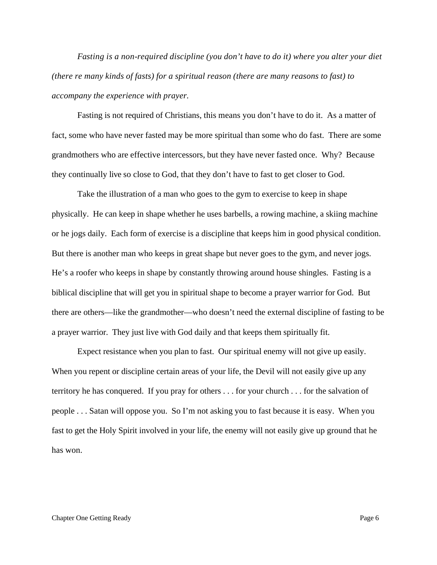*Fasting is a non-required discipline (you don't have to do it) where you alter your diet (there re many kinds of fasts) for a spiritual reason (there are many reasons to fast) to accompany the experience with prayer.* 

Fasting is not required of Christians, this means you don't have to do it. As a matter of fact, some who have never fasted may be more spiritual than some who do fast. There are some grandmothers who are effective intercessors, but they have never fasted once. Why? Because they continually live so close to God, that they don't have to fast to get closer to God.

Take the illustration of a man who goes to the gym to exercise to keep in shape physically. He can keep in shape whether he uses barbells, a rowing machine, a skiing machine or he jogs daily. Each form of exercise is a discipline that keeps him in good physical condition. But there is another man who keeps in great shape but never goes to the gym, and never jogs. He's a roofer who keeps in shape by constantly throwing around house shingles. Fasting is a biblical discipline that will get you in spiritual shape to become a prayer warrior for God. But there are others—like the grandmother—who doesn't need the external discipline of fasting to be a prayer warrior. They just live with God daily and that keeps them spiritually fit.

Expect resistance when you plan to fast. Our spiritual enemy will not give up easily. When you repent or discipline certain areas of your life, the Devil will not easily give up any territory he has conquered. If you pray for others . . . for your church . . . for the salvation of people . . . Satan will oppose you. So I'm not asking you to fast because it is easy. When you fast to get the Holy Spirit involved in your life, the enemy will not easily give up ground that he has won.

#### Chapter One Getting Ready **Page 6**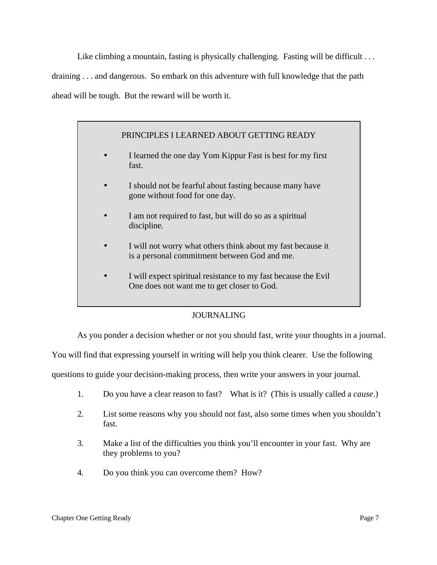Like climbing a mountain, fasting is physically challenging. Fasting will be difficult ... draining . . . and dangerous. So embark on this adventure with full knowledge that the path ahead will be tough. But the reward will be worth it.

## PRINCIPLES I LEARNED ABOUT GETTING READY

- I learned the one day Yom Kippur Fast is best for my first fast.
- I should not be fearful about fasting because many have gone without food for one day.
- I am not required to fast, but will do so as a spiritual discipline.
- I will not worry what others think about my fast because it is a personal commitment between God and me.
- I will expect spiritual resistance to my fast because the Evil One does not want me to get closer to God.

#### JOURNALING

As you ponder a decision whether or not you should fast, write your thoughts in a journal.

You will find that expressing yourself in writing will help you think clearer. Use the following

questions to guide your decision-making process, then write your answers in your journal.

- 1. Do you have a clear reason to fast? What is it? (This is usually called a *cause*.)
- 2. List some reasons why you should not fast, also some times when you shouldn't fast.
- 3. Make a list of the difficulties you think you'll encounter in your fast. Why are they problems to you?
- 4. Do you think you can overcome them? How?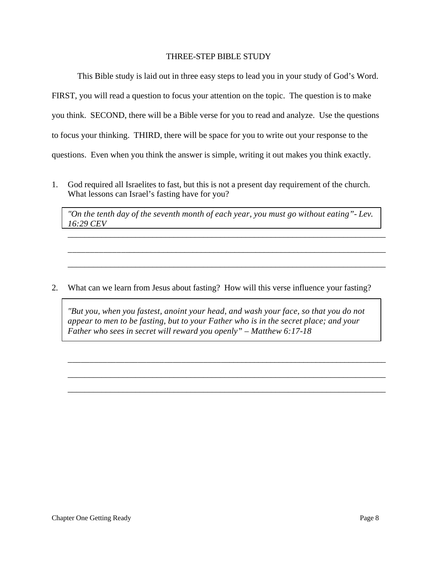#### THREE-STEP BIBLE STUDY

This Bible study is laid out in three easy steps to lead you in your study of God's Word. FIRST, you will read a question to focus your attention on the topic. The question is to make you think. SECOND, there will be a Bible verse for you to read and analyze. Use the questions to focus your thinking. THIRD, there will be space for you to write out your response to the questions. Even when you think the answer is simple, writing it out makes you think exactly.

1. God required all Israelites to fast, but this is not a present day requirement of the church. What lessons can Israel's fasting have for you?

*"On the tenth day of the seventh month of each year, you must go without eating"- Lev. 16:29 CEV*

\_\_\_\_\_\_\_\_\_\_\_\_\_\_\_\_\_\_\_\_\_\_\_\_\_\_\_\_\_\_\_\_\_\_\_\_\_\_\_\_\_\_\_\_\_\_\_\_\_\_\_\_\_\_\_\_\_\_\_\_\_\_\_\_\_\_\_\_\_\_\_\_\_\_\_

\_\_\_\_\_\_\_\_\_\_\_\_\_\_\_\_\_\_\_\_\_\_\_\_\_\_\_\_\_\_\_\_\_\_\_\_\_\_\_\_\_\_\_\_\_\_\_\_\_\_\_\_\_\_\_\_\_\_\_\_\_\_\_\_\_\_\_\_\_\_\_\_\_\_\_

\_\_\_\_\_\_\_\_\_\_\_\_\_\_\_\_\_\_\_\_\_\_\_\_\_\_\_\_\_\_\_\_\_\_\_\_\_\_\_\_\_\_\_\_\_\_\_\_\_\_\_\_\_\_\_\_\_\_\_\_\_\_\_\_\_\_\_\_\_\_\_\_\_\_\_

2. What can we learn from Jesus about fasting? How will this verse influence your fasting?

*"But you, when you fastest, anoint your head, and wash your face, so that you do not appear to men to be fasting, but to your Father who is in the secret place; and your Father who sees in secret will reward you openly" – Matthew 6:17-18*

\_\_\_\_\_\_\_\_\_\_\_\_\_\_\_\_\_\_\_\_\_\_\_\_\_\_\_\_\_\_\_\_\_\_\_\_\_\_\_\_\_\_\_\_\_\_\_\_\_\_\_\_\_\_\_\_\_\_\_\_\_\_\_\_\_\_\_\_\_\_\_\_\_\_\_

\_\_\_\_\_\_\_\_\_\_\_\_\_\_\_\_\_\_\_\_\_\_\_\_\_\_\_\_\_\_\_\_\_\_\_\_\_\_\_\_\_\_\_\_\_\_\_\_\_\_\_\_\_\_\_\_\_\_\_\_\_\_\_\_\_\_\_\_\_\_\_\_\_\_\_

\_\_\_\_\_\_\_\_\_\_\_\_\_\_\_\_\_\_\_\_\_\_\_\_\_\_\_\_\_\_\_\_\_\_\_\_\_\_\_\_\_\_\_\_\_\_\_\_\_\_\_\_\_\_\_\_\_\_\_\_\_\_\_\_\_\_\_\_\_\_\_\_\_\_\_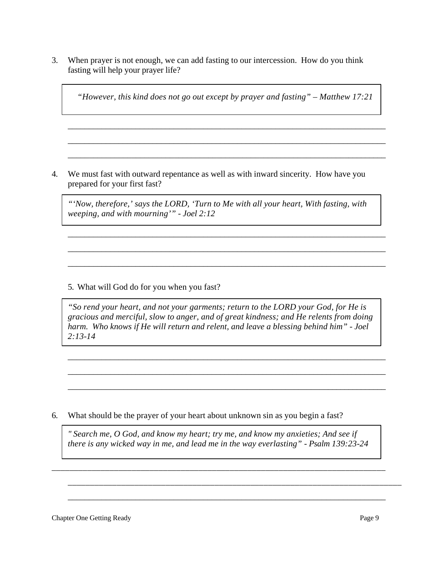3. When prayer is not enough, we can add fasting to our intercession. How do you think fasting will help your prayer life?

*"However, this kind does not go out except by prayer and fasting" – Matthew 17:21*

\_\_\_\_\_\_\_\_\_\_\_\_\_\_\_\_\_\_\_\_\_\_\_\_\_\_\_\_\_\_\_\_\_\_\_\_\_\_\_\_\_\_\_\_\_\_\_\_\_\_\_\_\_\_\_\_\_\_\_\_\_\_\_\_\_\_\_\_\_\_\_\_\_\_\_

\_\_\_\_\_\_\_\_\_\_\_\_\_\_\_\_\_\_\_\_\_\_\_\_\_\_\_\_\_\_\_\_\_\_\_\_\_\_\_\_\_\_\_\_\_\_\_\_\_\_\_\_\_\_\_\_\_\_\_\_\_\_\_\_\_\_\_\_\_\_\_\_\_\_\_

\_\_\_\_\_\_\_\_\_\_\_\_\_\_\_\_\_\_\_\_\_\_\_\_\_\_\_\_\_\_\_\_\_\_\_\_\_\_\_\_\_\_\_\_\_\_\_\_\_\_\_\_\_\_\_\_\_\_\_\_\_\_\_\_\_\_\_\_\_\_\_\_\_\_\_

4. We must fast with outward repentance as well as with inward sincerity. How have you prepared for your first fast?

*"'Now, therefore,' says the LORD, 'Turn to Me with all your heart, With fasting, with weeping, and with mourning'" - Joel 2:12*

\_\_\_\_\_\_\_\_\_\_\_\_\_\_\_\_\_\_\_\_\_\_\_\_\_\_\_\_\_\_\_\_\_\_\_\_\_\_\_\_\_\_\_\_\_\_\_\_\_\_\_\_\_\_\_\_\_\_\_\_\_\_\_\_\_\_\_\_\_\_\_\_\_\_\_

\_\_\_\_\_\_\_\_\_\_\_\_\_\_\_\_\_\_\_\_\_\_\_\_\_\_\_\_\_\_\_\_\_\_\_\_\_\_\_\_\_\_\_\_\_\_\_\_\_\_\_\_\_\_\_\_\_\_\_\_\_\_\_\_\_\_\_\_\_\_\_\_\_\_\_

\_\_\_\_\_\_\_\_\_\_\_\_\_\_\_\_\_\_\_\_\_\_\_\_\_\_\_\_\_\_\_\_\_\_\_\_\_\_\_\_\_\_\_\_\_\_\_\_\_\_\_\_\_\_\_\_\_\_\_\_\_\_\_\_\_\_\_\_\_\_\_\_\_\_\_

5. What will God do for you when you fast?

*"So rend your heart, and not your garments; return to the LORD your God, for He is gracious and merciful, slow to anger, and of great kindness; and He relents from doing harm. Who knows if He will return and relent, and leave a blessing behind him" - Joel 2:13-14*

\_\_\_\_\_\_\_\_\_\_\_\_\_\_\_\_\_\_\_\_\_\_\_\_\_\_\_\_\_\_\_\_\_\_\_\_\_\_\_\_\_\_\_\_\_\_\_\_\_\_\_\_\_\_\_\_\_\_\_\_\_\_\_\_\_\_\_\_\_\_\_\_\_\_\_

\_\_\_\_\_\_\_\_\_\_\_\_\_\_\_\_\_\_\_\_\_\_\_\_\_\_\_\_\_\_\_\_\_\_\_\_\_\_\_\_\_\_\_\_\_\_\_\_\_\_\_\_\_\_\_\_\_\_\_\_\_\_\_\_\_\_\_\_\_\_\_\_\_\_\_

\_\_\_\_\_\_\_\_\_\_\_\_\_\_\_\_\_\_\_\_\_\_\_\_\_\_\_\_\_\_\_\_\_\_\_\_\_\_\_\_\_\_\_\_\_\_\_\_\_\_\_\_\_\_\_\_\_\_\_\_\_\_\_\_\_\_\_\_\_\_\_\_\_\_\_

6. What should be the prayer of your heart about unknown sin as you begin a fast?

*" Search me, O God, and know my heart; try me, and know my anxieties; And see if there is any wicked way in me, and lead me in the way everlasting" - Psalm 139:23-24*

\_\_\_\_\_\_\_\_\_\_\_\_\_\_\_\_\_\_\_\_\_\_\_\_\_\_\_\_\_\_\_\_\_\_\_\_\_\_\_\_\_\_\_\_\_\_\_\_\_\_\_\_\_\_\_\_\_\_\_\_\_\_\_\_\_\_\_\_\_\_\_\_\_\_\_

\_\_\_\_\_\_\_\_\_\_\_\_\_\_\_\_\_\_\_\_\_\_\_\_\_\_\_\_\_\_\_\_\_\_\_\_\_\_\_\_\_\_\_\_\_\_\_\_\_\_\_\_\_\_\_\_\_\_\_\_\_\_\_\_\_\_\_\_\_\_\_\_\_\_\_

\_\_\_\_\_\_\_\_\_\_\_\_\_\_\_\_\_\_\_\_\_\_\_\_\_\_\_\_\_\_\_\_\_\_\_\_\_\_\_\_\_\_\_\_\_\_\_\_\_\_\_\_\_\_\_\_\_\_\_\_\_\_\_\_\_\_\_\_\_\_\_\_\_\_\_

Chapter One Getting Ready Page 9